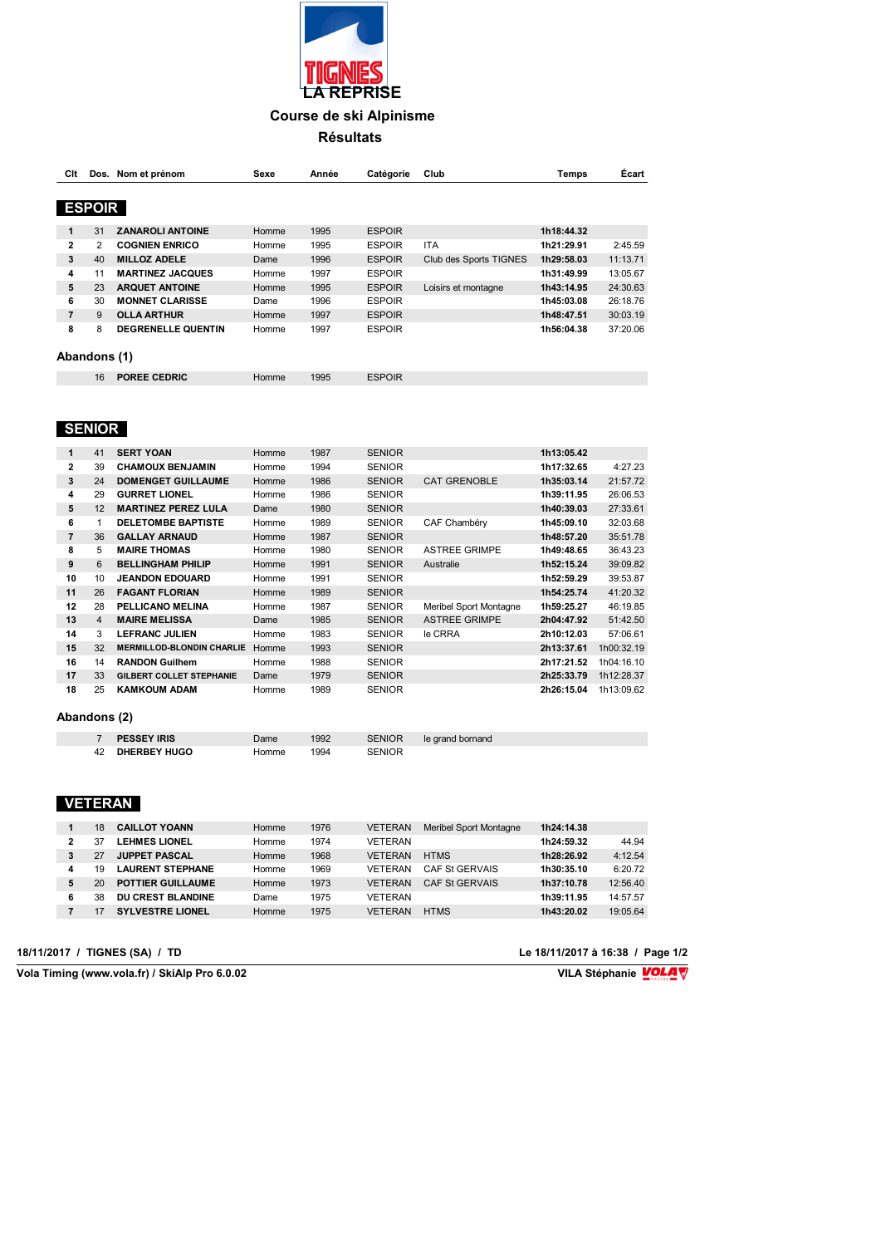

### **Résultats**

| Clt            |               | Dos. Nom et prénom        | Sexe  | Année | Catégorie     | Club                   | <b>Temps</b> | Écart    |
|----------------|---------------|---------------------------|-------|-------|---------------|------------------------|--------------|----------|
|                | <b>ESPOIR</b> |                           |       |       |               |                        |              |          |
| 1              | 31            | <b>ZANAROLI ANTOINE</b>   | Homme | 1995  | <b>ESPOIR</b> |                        | 1h18:44.32   |          |
| 2              | 2             | <b>COGNIEN ENRICO</b>     | Homme | 1995  | <b>ESPOIR</b> | <b>ITA</b>             | 1h21:29.91   | 2:45.59  |
| 3              | 40            | <b>MILLOZ ADELE</b>       | Dame  | 1996  | <b>ESPOIR</b> | Club des Sports TIGNES | 1h29:58.03   | 11:13.71 |
| 4              | 11            | <b>MARTINEZ JACQUES</b>   | Homme | 1997  | <b>ESPOIR</b> |                        | 1h31:49.99   | 13:05.67 |
| 5              | 23            | <b>ARQUET ANTOINE</b>     | Homme | 1995  | <b>ESPOIR</b> | Loisirs et montagne    | 1h43:14.95   | 24:30.63 |
| 6              | 30            | <b>MONNET CLARISSE</b>    | Dame  | 1996  | <b>ESPOIR</b> |                        | 1h45:03.08   | 26:18.76 |
| $\overline{7}$ | 9             | <b>OLLA ARTHUR</b>        | Homme | 1997  | <b>ESPOIR</b> |                        | 1h48:47.51   | 30:03.19 |
| 8              | 8             | <b>DEGRENELLE QUENTIN</b> | Homme | 1997  | <b>ESPOIR</b> |                        | 1h56:04.38   | 37:20.06 |
|                | Abandons (1)  |                           |       |       |               |                        |              |          |
|                | 16            | <b>POREE CEDRIC</b>       | Homme | 1995  | <b>ESPOIR</b> |                        |              |          |

## **SENIOR**

| 1            | 41 | <b>SERT YOAN</b>                 | Homme | 1987 | <b>SENIOR</b> |                        | 1h13:05.42 |            |
|--------------|----|----------------------------------|-------|------|---------------|------------------------|------------|------------|
| $\mathbf{2}$ | 39 | <b>CHAMOUX BENJAMIN</b>          | Homme | 1994 | <b>SENIOR</b> |                        | 1h17:32.65 | 4:27.23    |
| 3            | 24 | <b>DOMENGET GUILLAUME</b>        | Homme | 1986 | <b>SENIOR</b> | <b>CAT GRENOBLE</b>    | 1h35:03.14 | 21:57.72   |
| 4            | 29 | <b>GURRET LIONEL</b>             | Homme | 1986 | <b>SENIOR</b> |                        | 1h39:11.95 | 26:06.53   |
| 5            | 12 | <b>MARTINEZ PEREZ LULA</b>       | Dame  | 1980 | <b>SENIOR</b> |                        | 1h40:39.03 | 27:33.61   |
| 6            |    | <b>DELETOMBE BAPTISTE</b>        | Homme | 1989 | <b>SENIOR</b> | CAF Chambéry           | 1h45:09.10 | 32:03.68   |
| 7            | 36 | <b>GALLAY ARNAUD</b>             | Homme | 1987 | <b>SENIOR</b> |                        | 1h48:57.20 | 35:51.78   |
| 8            | 5  | <b>MAIRE THOMAS</b>              | Homme | 1980 | <b>SENIOR</b> | <b>ASTREE GRIMPE</b>   | 1h49:48.65 | 36:43.23   |
| 9            | 6  | <b>BELLINGHAM PHILIP</b>         | Homme | 1991 | <b>SENIOR</b> | Australie              | 1h52:15.24 | 39:09.82   |
| 10           | 10 | <b>JEANDON EDOUARD</b>           | Homme | 1991 | <b>SENIOR</b> |                        | 1h52:59.29 | 39:53.87   |
| 11           | 26 | <b>FAGANT FLORIAN</b>            | Homme | 1989 | <b>SENIOR</b> |                        | 1h54:25.74 | 41:20.32   |
| 12           | 28 | PELLICANO MELINA                 | Homme | 1987 | <b>SENIOR</b> | Meribel Sport Montagne | 1h59:25.27 | 46:19.85   |
| 13           | 4  | <b>MAIRE MELISSA</b>             | Dame  | 1985 | <b>SENIOR</b> | <b>ASTREE GRIMPE</b>   | 2h04:47.92 | 51:42.50   |
| 14           | 3  | <b>LEFRANC JULIEN</b>            | Homme | 1983 | <b>SENIOR</b> | le CRRA                | 2h10:12.03 | 57:06.61   |
| 15           | 32 | <b>MERMILLOD-BLONDIN CHARLIE</b> | Homme | 1993 | <b>SENIOR</b> |                        | 2h13:37.61 | 1h00:32.19 |
| 16           | 14 | <b>RANDON Guilhem</b>            | Homme | 1988 | <b>SENIOR</b> |                        | 2h17:21.52 | 1h04:16.10 |
| 17           | 33 | <b>GILBERT COLLET STEPHANIE</b>  | Dame  | 1979 | <b>SENIOR</b> |                        | 2h25:33.79 | 1h12:28.37 |
| 18           | 25 | <b>KAMKOUM ADAM</b>              | Homme | 1989 | <b>SENIOR</b> |                        | 2h26:15.04 | 1h13:09.62 |

#### **Abandons (2)**

|    | <b>PESSEY IRIS</b> | Dame  | 1992 | <b>SENIOR</b> | le grand bornand |
|----|--------------------|-------|------|---------------|------------------|
| 42 | DHERBEY HUGO       | Homme | 1994 | ™FNIOR ∶      |                  |

# **VETERAN**

|   | 18 | <b>CAILLOT YOANN</b>     | Homme | 1976 | <b>VETERAN</b> | <b>Meribel Sport Montagne</b> | 1h24:14.38 |          |
|---|----|--------------------------|-------|------|----------------|-------------------------------|------------|----------|
| 2 |    | <b>LEHMES LIONEL</b>     | Homme | 1974 | <b>VFTFRAN</b> |                               | 1h24:59.32 | 44.94    |
|   |    | <b>JUPPET PASCAL</b>     | Homme | 1968 | <b>VETERAN</b> | <b>HTMS</b>                   | 1h28:26.92 | 4:12.54  |
| 4 | 19 | <b>LAURENT STEPHANE</b>  | Homme | 1969 | VFTFRAN        | CAF St GERVAIS                | 1h30:35.10 | 6:20.72  |
| 5 | 20 | <b>POTTIER GUILLAUME</b> | Homme | 1973 | VFTFRAN        | CAF St GERVAIS                | 1h37:10.78 | 12:56.40 |
|   | 38 | <b>DU CREST BLANDINE</b> | Dame  | 1975 | VETERAN        |                               | 1h39:11.95 | 14:57.57 |
|   |    | <b>SYLVESTRE LIONEL</b>  | Homme | 1975 | VFTFRAN        | <b>HTMS</b>                   | 1h43:20.02 | 19:05.64 |

**18/11/2017 / TIGNES (SA) / TD Le 18/11/2017 à 16:38 / Page 1/2**

 $\sqrt{\frac{1}{100}}$  Vola Timing (www.vola.fr) / SkiAlp Pro 6.0.02

VILA Stéphanie **VOLA**